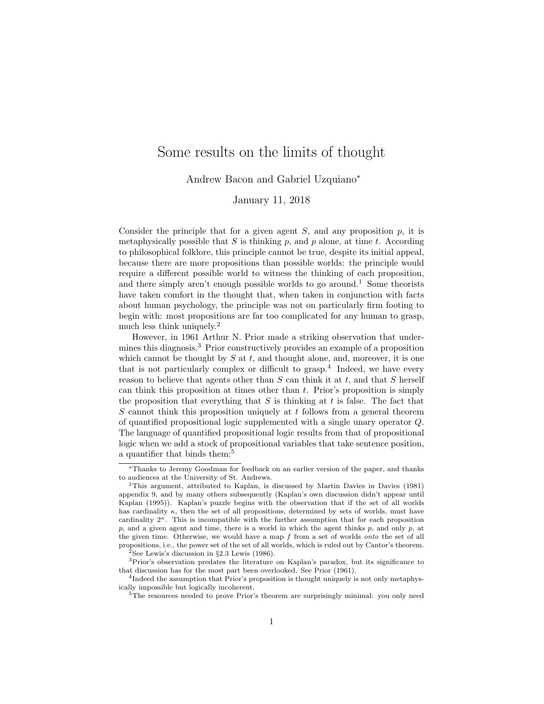# Some results on the limits of thought

Andrew Bacon and Gabriel Uzquiano<sup>∗</sup>

#### January 11, 2018

Consider the principle that for a given agent  $S$ , and any proposition  $p$ , it is metaphysically possible that S is thinking  $p$ , and  $p$  alone, at time t. According to philosophical folklore, this principle cannot be true, despite its initial appeal, because there are more propositions than possible worlds: the principle would require a different possible world to witness the thinking of each proposition, and there simply aren't enough possible worlds to go around.<sup>1</sup> Some theorists have taken comfort in the thought that, when taken in conjunction with facts about human psychology, the principle was not on particularly firm footing to begin with: most propositions are far too complicated for any human to grasp, much less think uniquely.<sup>2</sup>

However, in 1961 Arthur N. Prior made a striking observation that undermines this diagnosis.<sup>3</sup> Prior constructively provides an example of a proposition which cannot be thought by  $S$  at  $t$ , and thought alone, and, moreover, it is one that is not particularly complex or difficult to  $grasp.<sup>4</sup>$  Indeed, we have every reason to believe that agents other than  $S$  can think it at  $t$ , and that  $S$  herself can think this proposition at times other than  $t$ . Prior's proposition is simply the proposition that everything that  $S$  is thinking at  $t$  is false. The fact that S cannot think this proposition uniquely at t follows from a general theorem of quantified propositional logic supplemented with a single unary operator Q. The language of quantified propositional logic results from that of propositional logic when we add a stock of propositional variables that take sentence position, a quantifier that binds them:<sup>5</sup>

<sup>∗</sup>Thanks to Jeremy Goodman for feedback on an earlier version of the paper, and thanks to audiences at the University of St. Andrews.

<sup>1</sup>This argument, attributed to Kaplan, is discussed by Martin Davies in Davies (1981) appendix 9, and by many others subsequently (Kaplan's own discussion didn't appear until Kaplan (1995)). Kaplan's puzzle begins with the observation that if the set of all worlds has cardinality  $\kappa$ , then the set of all propositions, determined by sets of worlds, must have cardinality  $2^k$ . This is incompatible with the further assumption that for each proposition p, and a given agent and time, there is a world in which the agent thinks p, and only p, at the given time. Otherwise, we would have a map  $f$  from a set of worlds *onto* the set of all propositions, i.e., the power set of the set of all worlds, which is ruled out by Cantor's theorem.

<sup>&</sup>lt;sup>2</sup>See Lewis's discussion in  $\S 2.3$  Lewis (1986).

<sup>3</sup>Prior's observation predates the literature on Kaplan's paradox, but its significance to that discussion has for the most part been overlooked. See Prior (1961).

<sup>&</sup>lt;sup>4</sup>Indeed the assumption that Prior's proposition is thought uniquely is not only metaphysically impossible but logically incoherent.

<sup>&</sup>lt;sup>5</sup>The resources needed to prove Prior's theorem are surprisingly minimal: you only need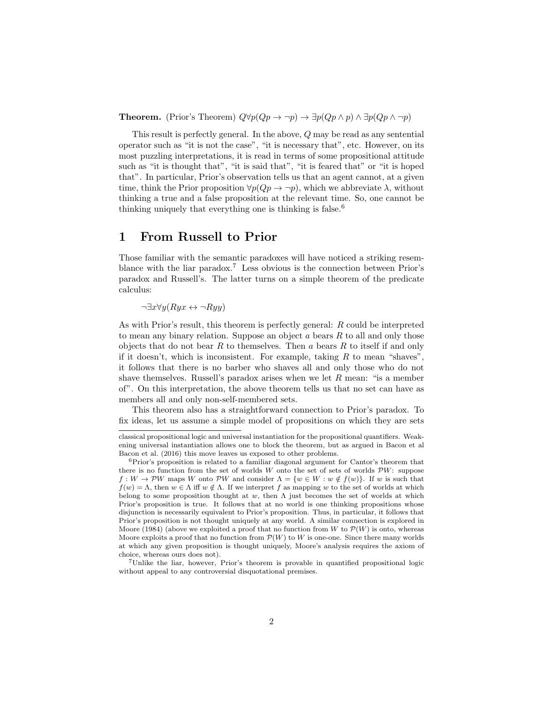**Theorem.** (Prior's Theorem)  $Q \forall p (Qp \rightarrow \neg p) \rightarrow \exists p (Qp \land p) \land \exists p (Qp \land \neg p)$ 

This result is perfectly general. In the above, Q may be read as any sentential operator such as "it is not the case", "it is necessary that", etc. However, on its most puzzling interpretations, it is read in terms of some propositional attitude such as "it is thought that", "it is said that", "it is feared that" or "it is hoped that". In particular, Prior's observation tells us that an agent cannot, at a given time, think the Prior proposition  $\forall p(Qp \rightarrow \neg p)$ , which we abbreviate  $\lambda$ , without thinking a true and a false proposition at the relevant time. So, one cannot be thinking uniquely that everything one is thinking is false.<sup>6</sup>

### 1 From Russell to Prior

Those familiar with the semantic paradoxes will have noticed a striking resemblance with the liar paradox.<sup>7</sup> Less obvious is the connection between Prior's paradox and Russell's. The latter turns on a simple theorem of the predicate calculus:

 $\neg \exists x \forall y (Ryx \leftrightarrow \neg Ryy)$ 

As with Prior's result, this theorem is perfectly general: R could be interpreted to mean any binary relation. Suppose an object  $a$  bears  $R$  to all and only those objects that do not bear  $R$  to themselves. Then  $a$  bears  $R$  to itself if and only if it doesn't, which is inconsistent. For example, taking  $R$  to mean "shaves", it follows that there is no barber who shaves all and only those who do not shave themselves. Russell's paradox arises when we let  $R$  mean: "is a member of". On this interpretation, the above theorem tells us that no set can have as members all and only non-self-membered sets.

This theorem also has a straightforward connection to Prior's paradox. To fix ideas, let us assume a simple model of propositions on which they are sets

classical propositional logic and universal instantiation for the propositional quantifiers. Weakening universal instantiation allows one to block the theorem, but as argued in Bacon et al Bacon et al. (2016) this move leaves us exposed to other problems.

<sup>6</sup>Prior's proposition is related to a familiar diagonal argument for Cantor's theorem that there is no function from the set of worlds  $W$  onto the set of sets of worlds  $PW$ : suppose  $f: W \to \mathcal{P}W$  maps W onto  $\mathcal{P}W$  and consider  $\Lambda = \{w \in W : w \notin f(w)\}\$ . If w is such that  $f(w) = \Lambda$ , then  $w \in \Lambda$  iff  $w \notin \Lambda$ . If we interpret f as mapping w to the set of worlds at which belong to some proposition thought at w, then  $\Lambda$  just becomes the set of worlds at which Prior's proposition is true. It follows that at no world is one thinking propositions whose disjunction is necessarily equivalent to Prior's proposition. Thus, in particular, it follows that Prior's proposition is not thought uniquely at any world. A similar connection is explored in Moore (1984) (above we exploited a proof that no function from W to  $\mathcal{P}(W)$  is onto, whereas Moore exploits a proof that no function from  $\mathcal{P}(W)$  to W is one-one. Since there many worlds at which any given proposition is thought uniquely, Moore's analysis requires the axiom of choice, whereas ours does not).

<sup>7</sup>Unlike the liar, however, Prior's theorem is provable in quantified propositional logic without appeal to any controversial disquotational premises.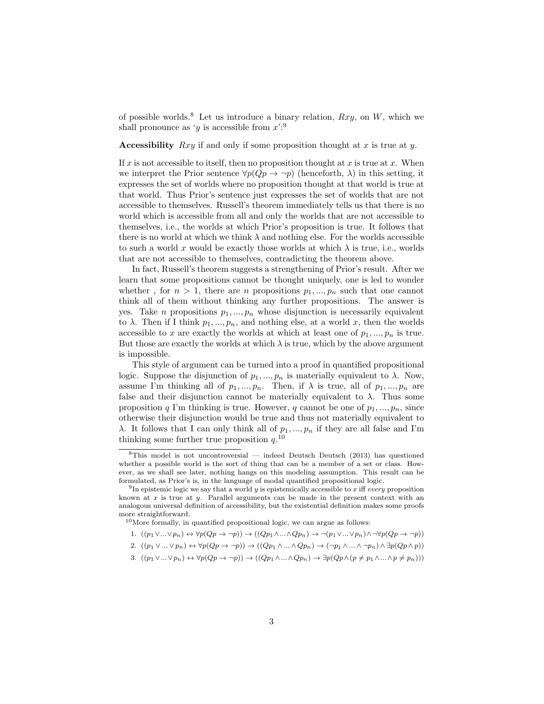of possible worlds.<sup>8</sup> Let us introduce a binary relation,  $Rxy$ , on W, which we shall pronounce as 'y is accessible from  $x$ ':<sup>9</sup>

Accessibility  $Rxy$  if and only if some proposition thought at x is true at y.

If x is not accessible to itself, then no proposition thought at x is true at x. When we interpret the Prior sentence  $\forall p(Qp \rightarrow \neg p)$  (henceforth,  $\lambda$ ) in this setting, it expresses the set of worlds where no proposition thought at that world is true at that world. Thus Prior's sentence just expresses the set of worlds that are not accessible to themselves. Russell's theorem immediately tells us that there is no world which is accessible from all and only the worlds that are not accessible to themselves, i.e., the worlds at which Prior's proposition is true. It follows that there is no world at which we think  $\lambda$  and nothing else. For the worlds accessible to such a world x would be exactly those worlds at which  $\lambda$  is true, i.e., worlds that are not accessible to themselves, contradicting the theorem above.

In fact, Russell's theorem suggests a strengthening of Prior's result. After we learn that some propositions cannot be thought uniquely, one is led to wonder whether, for  $n > 1$ , there are n propositions  $p_1, ..., p_n$  such that one cannot think all of them without thinking any further propositions. The answer is yes. Take *n* propositions  $p_1, ..., p_n$  whose disjunction is necessarily equivalent to  $\lambda$ . Then if I think  $p_1, ..., p_n$ , and nothing else, at a world x, then the worlds accessible to x are exactly the worlds at which at least one of  $p_1, ..., p_n$  is true. But those are exactly the worlds at which  $\lambda$  is true, which by the above argument is impossible.

This style of argument can be turned into a proof in quantified propositional logic. Suppose the disjunction of  $p_1, ..., p_n$  is materially equivalent to  $\lambda$ . Now, assume I'm thinking all of  $p_1, ..., p_n$ . Then, if  $\lambda$  is true, all of  $p_1, ..., p_n$  are false and their disjunction cannot be materially equivalent to  $\lambda$ . Thus some proposition q I'm thinking is true. However, q cannot be one of  $p_1, ..., p_n$ , since otherwise their disjunction would be true and thus not materially equivalent to  $\lambda$ . It follows that I can only think all of  $p_1, ..., p_n$  if they are all false and I'm thinking some further true proposition  $q^{10}$ .

1.  $((p_1 \vee ... \vee p_n) \leftrightarrow \forall p(Qp \to \neg p)) \to ((Qp_1 \wedge ... \wedge Qp_n) \to \neg(p_1 \vee ... \vee p_n) \wedge \neg \forall p(Qp \to \neg p))$ 

2. 
$$
((p_1 \vee ... \vee p_n) \leftrightarrow \forall p(Qp \to \neg p)) \to ((Qp_1 \wedge ... \wedge Qp_n) \to (\neg p_1 \wedge ... \wedge \neg p_n) \wedge \exists p(Qp \wedge p))
$$

3. 
$$
((p_1 \vee ... \vee p_n) \leftrightarrow \forall p(Qp \to \neg p)) \to ((Qp_1 \wedge ... \wedge Qp_n) \to \exists p(Qp \wedge (p \neq p_1 \wedge ... \wedge p \neq p_n)))
$$

 $8$ This model is not uncontroversial — indeed Deutsch Deutsch (2013) has questioned whether a possible world is the sort of thing that can be a member of a set or class. However, as we shall see later, nothing hangs on this modeling assumption. This result can be formulated, as Prior's is, in the language of modal quantified propositional logic.

<sup>&</sup>lt;sup>9</sup>In epistemic logic we say that a world y is epistemically accessible to x iff every proposition known at  $x$  is true at  $y$ . Parallel arguments can be made in the present context with an analogous universal definition of accessibility, but the existential definition makes some proofs more straightforward.

<sup>10</sup>More formally, in quantified propositional logic, we can argue as follows: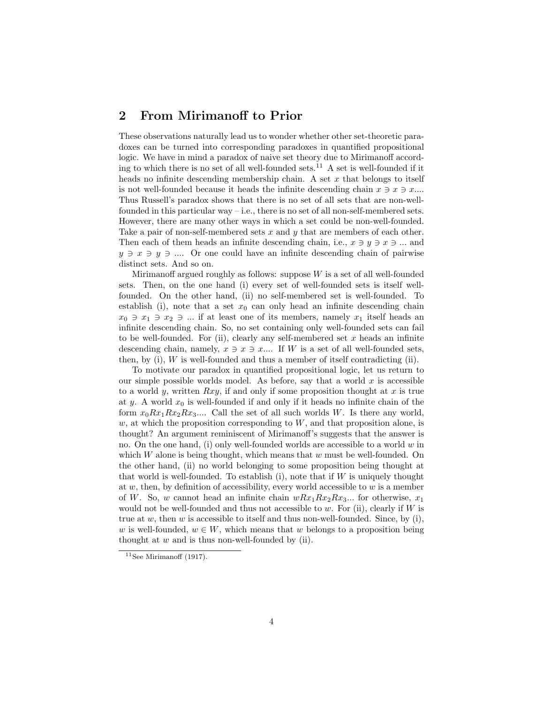## 2 From Mirimanoff to Prior

These observations naturally lead us to wonder whether other set-theoretic paradoxes can be turned into corresponding paradoxes in quantified propositional logic. We have in mind a paradox of naive set theory due to Mirimanoff according to which there is no set of all well-founded sets.<sup>11</sup> A set is well-founded if it heads no infinite descending membership chain. A set  $x$  that belongs to itself is not well-founded because it heads the infinite descending chain  $x \ni x \ni x$ ... Thus Russell's paradox shows that there is no set of all sets that are non-wellfounded in this particular way – i.e., there is no set of all non-self-membered sets. However, there are many other ways in which a set could be non-well-founded. Take a pair of non-self-membered sets x and y that are members of each other. Then each of them heads an infinite descending chain, i.e.,  $x \ni y \ni x \ni ...$  and  $y \ni x \ni y \ni \dots$  Or one could have an infinite descending chain of pairwise distinct sets. And so on.

Mirimanoff argued roughly as follows: suppose  $W$  is a set of all well-founded sets. Then, on the one hand (i) every set of well-founded sets is itself wellfounded. On the other hand, (ii) no self-membered set is well-founded. To establish (i), note that a set  $x_0$  can only head an infinite descending chain  $x_0 \ni x_1 \ni x_2 \ni ...$  if at least one of its members, namely  $x_1$  itself heads an infinite descending chain. So, no set containing only well-founded sets can fail to be well-founded. For (ii), clearly any self-membered set  $x$  heads an infinite descending chain, namely,  $x \ni x \ni x...$  If W is a set of all well-founded sets, then, by (i), W is well-founded and thus a member of itself contradicting (ii).

To motivate our paradox in quantified propositional logic, let us return to our simple possible worlds model. As before, say that a world  $x$  is accessible to a world y, written  $Rxy$ , if and only if some proposition thought at x is true at y. A world  $x_0$  is well-founded if and only if it heads no infinite chain of the form  $x_0Rx_1Rx_2Rx_3....$  Call the set of all such worlds W. Is there any world,  $w$ , at which the proposition corresponding to  $W$ , and that proposition alone, is thought? An argument reminiscent of Mirimanoff's suggests that the answer is no. On the one hand, (i) only well-founded worlds are accessible to a world  $w$  in which  $W$  alone is being thought, which means that  $w$  must be well-founded. On the other hand, (ii) no world belonging to some proposition being thought at that world is well-founded. To establish  $(i)$ , note that if W is uniquely thought at  $w$ , then, by definition of accessibility, every world accessible to  $w$  is a member of W. So, w cannot head an infinite chain  $wRx_1Rx_2Rx_3...$  for otherwise,  $x_1$ would not be well-founded and thus not accessible to  $w$ . For (ii), clearly if  $W$  is true at  $w$ , then  $w$  is accessible to itself and thus non-well-founded. Since, by (i), w is well-founded,  $w \in W$ , which means that w belongs to a proposition being thought at  $w$  and is thus non-well-founded by (ii).

 $11$ See Mirimanoff (1917).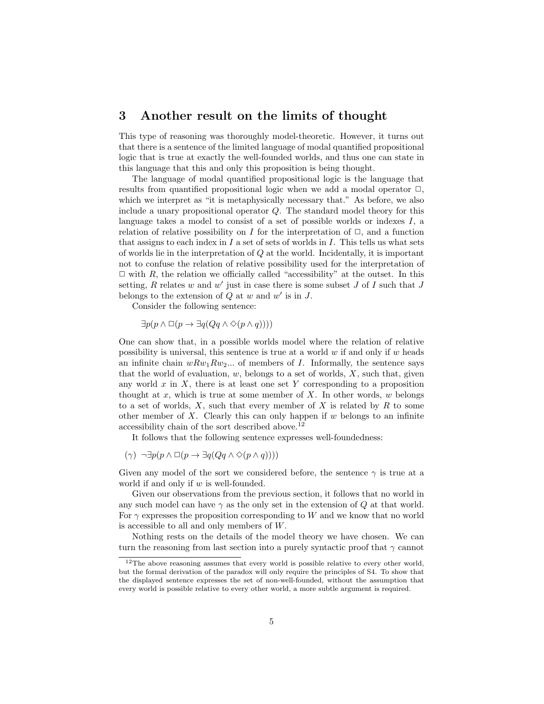#### 3 Another result on the limits of thought

This type of reasoning was thoroughly model-theoretic. However, it turns out that there is a sentence of the limited language of modal quantified propositional logic that is true at exactly the well-founded worlds, and thus one can state in this language that this and only this proposition is being thought.

The language of modal quantified propositional logic is the language that results from quantified propositional logic when we add a modal operator  $\Box$ , which we interpret as "it is metaphysically necessary that." As before, we also include a unary propositional operator Q. The standard model theory for this language takes a model to consist of a set of possible worlds or indexes  $I$ , a relation of relative possibility on I for the interpretation of  $\Box$ , and a function that assigns to each index in  $I$  a set of sets of worlds in  $I$ . This tells us what sets of worlds lie in the interpretation of Q at the world. Incidentally, it is important not to confuse the relation of relative possibility used for the interpretation of  $\Box$  with R, the relation we officially called "accessibility" at the outset. In this setting,  $R$  relates  $w$  and  $w'$  just in case there is some subset  $J$  of  $I$  such that  $J$ belongs to the extension of  $Q$  at  $w$  and  $w'$  is in  $J$ .

Consider the following sentence:

$$
\exists p(p \land \Box(p \rightarrow \exists q(Qq \land \Diamond(p \land q))))
$$

One can show that, in a possible worlds model where the relation of relative possibility is universal, this sentence is true at a world  $w$  if and only if  $w$  heads an infinite chain  $wRw_1Rw_2...$  of members of I. Informally, the sentence says that the world of evaluation,  $w$ , belongs to a set of worlds,  $X$ , such that, given any world  $x$  in  $X$ , there is at least one set Y corresponding to a proposition thought at  $x$ , which is true at some member of  $X$ . In other words,  $w$  belongs to a set of worlds,  $X$ , such that every member of X is related by  $R$  to some other member of  $X$ . Clearly this can only happen if  $w$  belongs to an infinite accessibility chain of the sort described above.<sup>12</sup>

It follows that the following sentence expresses well-foundedness:

$$
(\gamma) \neg \exists p (p \land \Box (p \rightarrow \exists q (Qq \land \Diamond (p \land q))))
$$

Given any model of the sort we considered before, the sentence  $\gamma$  is true at a world if and only if  $w$  is well-founded.

Given our observations from the previous section, it follows that no world in any such model can have  $\gamma$  as the only set in the extension of Q at that world. For  $\gamma$  expresses the proposition corresponding to W and we know that no world is accessible to all and only members of W.

Nothing rests on the details of the model theory we have chosen. We can turn the reasoning from last section into a purely syntactic proof that  $\gamma$  cannot

 $12$ The above reasoning assumes that every world is possible relative to every other world, but the formal derivation of the paradox will only require the principles of S4. To show that the displayed sentence expresses the set of non-well-founded, without the assumption that every world is possible relative to every other world, a more subtle argument is required.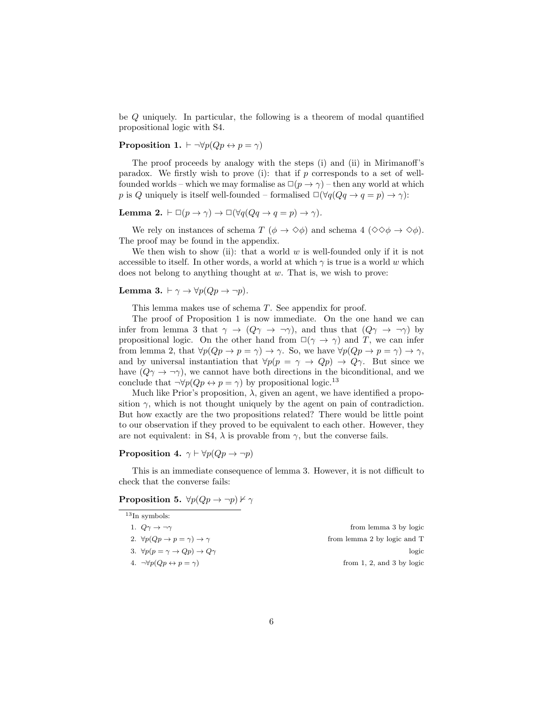be Q uniquely. In particular, the following is a theorem of modal quantified propositional logic with S4.

**Proposition 1.**  $\vdash \neg \forall p(Qp \leftrightarrow p = \gamma)$ 

The proof proceeds by analogy with the steps (i) and (ii) in Mirimanoff's paradox. We firstly wish to prove (i): that if  $p$  corresponds to a set of wellfounded worlds – which we may formalise as  $\Box(p \to \gamma)$  – then any world at which p is Q uniquely is itself well-founded – formalised  $\Box(\forall q(Qq \rightarrow q = p) \rightarrow \gamma)$ :

Lemma 2.  $\vdash \Box (p \to \gamma) \to \Box (\forall q (Qq \to q = p) \to \gamma).$ 

We rely on instances of schema T ( $\phi \to \Diamond \phi$ ) and schema 4 ( $\Diamond \Diamond \phi \to \Diamond \phi$ ). The proof may be found in the appendix.

We then wish to show (ii): that a world  $w$  is well-founded only if it is not accessible to itself. In other words, a world at which  $\gamma$  is true is a world w which does not belong to anything thought at  $w$ . That is, we wish to prove:

Lemma 3.  $\vdash \gamma \rightarrow \forall p(Qp \rightarrow \neg p)$ .

This lemma makes use of schema T. See appendix for proof.

The proof of Proposition 1 is now immediate. On the one hand we can infer from lemma 3 that  $\gamma \to (Q\gamma \to \neg \gamma)$ , and thus that  $(Q\gamma \to \neg \gamma)$  by propositional logic. On the other hand from  $\square(\gamma \rightarrow \gamma)$  and T, we can infer from lemma 2, that  $\forall p(Qp \rightarrow p = \gamma) \rightarrow \gamma$ . So, we have  $\forall p(Qp \rightarrow p = \gamma) \rightarrow \gamma$ , and by universal instantiation that  $\forall p(p = \gamma \rightarrow Qp) \rightarrow Q\gamma$ . But since we have  $(Q\gamma \rightarrow \gamma)$ , we cannot have both directions in the biconditional, and we conclude that  $\neg \forall p(Qp \leftrightarrow p = \gamma)$  by propositional logic.<sup>13</sup>

Much like Prior's proposition,  $\lambda$ , given an agent, we have identified a proposition  $\gamma$ , which is not thought uniquely by the agent on pain of contradiction. But how exactly are the two propositions related? There would be little point to our observation if they proved to be equivalent to each other. However, they are not equivalent: in S4,  $\lambda$  is provable from  $\gamma$ , but the converse fails.

**Proposition 4.**  $\gamma \vdash \forall p(Qp \rightarrow \neg p)$ 

This is an immediate consequence of lemma 3. However, it is not difficult to check that the converse fails:

Proposition 5.  $\forall p (Qp \rightarrow \neg p) \nvdash \gamma$ 

| $^{13}$ In symbols:                                           |                             |
|---------------------------------------------------------------|-----------------------------|
| 1. $Q\gamma \rightarrow \neg \gamma$                          | from lemma 3 by logic       |
| 2. $\forall p(Qp \rightarrow p = \gamma) \rightarrow \gamma$  | from lemma 2 by logic and T |
| 3. $\forall p(p = \gamma \rightarrow Qp) \rightarrow Q\gamma$ | logic                       |
| 4. $\neg \forall p(Qp \leftrightarrow p = \gamma)$            | from 1, 2, and 3 by $logic$ |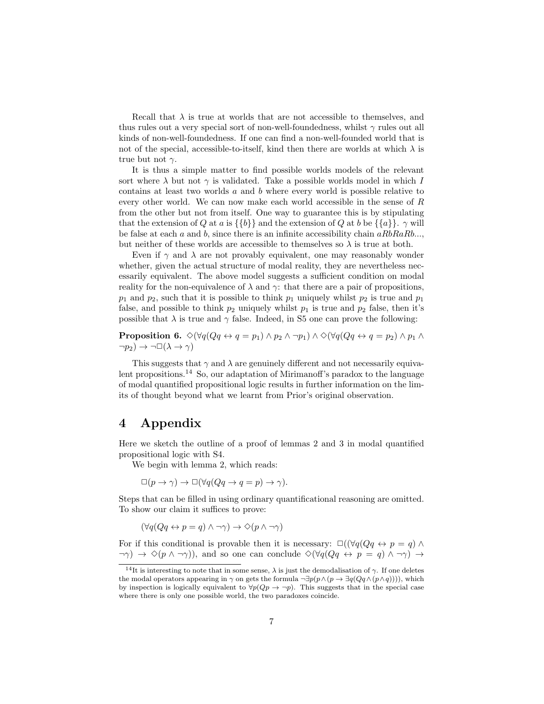Recall that  $\lambda$  is true at worlds that are not accessible to themselves, and thus rules out a very special sort of non-well-foundedness, whilst  $\gamma$  rules out all kinds of non-well-foundedness. If one can find a non-well-founded world that is not of the special, accessible-to-itself, kind then there are worlds at which  $\lambda$  is true but not  $\gamma$ .

It is thus a simple matter to find possible worlds models of the relevant sort where  $\lambda$  but not  $\gamma$  is validated. Take a possible worlds model in which I contains at least two worlds a and b where every world is possible relative to every other world. We can now make each world accessible in the sense of R from the other but not from itself. One way to guarantee this is by stipulating that the extension of Q at a is  $\{\{b\}\}\$  and the extension of Q at b be  $\{\{a\}\}\$ .  $\gamma$  will be false at each a and b, since there is an infinite accessibility chain  $aRbRaRb...$ , but neither of these worlds are accessible to themselves so  $\lambda$  is true at both.

Even if  $\gamma$  and  $\lambda$  are not provably equivalent, one may reasonably wonder whether, given the actual structure of modal reality, they are nevertheless necessarily equivalent. The above model suggests a sufficient condition on modal reality for the non-equivalence of  $\lambda$  and  $\gamma$ : that there are a pair of propositions,  $p_1$  and  $p_2$ , such that it is possible to think  $p_1$  uniquely whilst  $p_2$  is true and  $p_1$ false, and possible to think  $p_2$  uniquely whilst  $p_1$  is true and  $p_2$  false, then it's possible that  $\lambda$  is true and  $\gamma$  false. Indeed, in S5 one can prove the following:

**Proposition 6.**  $\Diamond(\forall q(Qq \leftrightarrow q = p_1) \land p_2 \land \neg p_1) \land \Diamond(\forall q(Qq \leftrightarrow q = p_2) \land p_1 \land \neg p_2)$  $\neg p_2$ )  $\rightarrow \neg \Box(\lambda \rightarrow \gamma)$ 

This suggests that  $\gamma$  and  $\lambda$  are genuinely different and not necessarily equivalent propositions.<sup>14</sup> So, our adaptation of Mirimanoff's paradox to the language of modal quantified propositional logic results in further information on the limits of thought beyond what we learnt from Prior's original observation.

## 4 Appendix

Here we sketch the outline of a proof of lemmas 2 and 3 in modal quantified propositional logic with S4.

We begin with lemma 2, which reads:

$$
\Box(p \to \gamma) \to \Box(\forall q (Qq \to q = p) \to \gamma).
$$

Steps that can be filled in using ordinary quantificational reasoning are omitted. To show our claim it suffices to prove:

$$
(\forall q (Qq \leftrightarrow p = q) \land \neg \gamma) \rightarrow \Diamond (p \land \neg \gamma)
$$

For if this conditional is provable then it is necessary:  $\Box((\forall q(Qq \leftrightarrow p = q) \land \Box)$  $\neg \gamma$ )  $\rightarrow \Diamond (p \land \neg \gamma)$ , and so one can conclude  $\Diamond (\forall q (Qq \leftrightarrow p = q) \land \neg \gamma)$   $\rightarrow$ 

<sup>&</sup>lt;sup>14</sup>It is interesting to note that in some sense,  $\lambda$  is just the demodalisation of  $\gamma$ . If one deletes the modal operators appearing in  $\gamma$  on gets the formula  $\neg \exists p(p \land (p \rightarrow \exists q(Qq \land (p \land q))))$ , which by inspection is logically equivalent to  $\forall p(Qp \rightarrow \neg p)$ . This suggests that in the special case where there is only one possible world, the two paradoxes coincide.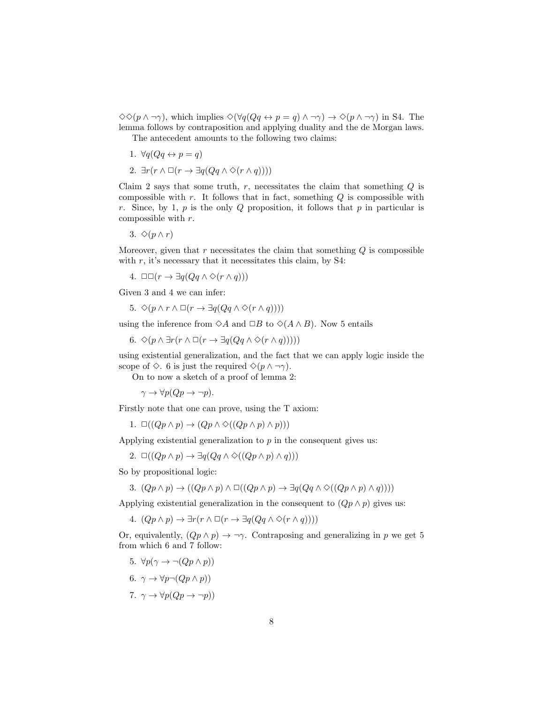$\diamondsuit(p \wedge \neg \gamma)$ , which implies  $\diamondsuit(\forall q(Qq \leftrightarrow p = q) \wedge \neg \gamma) \rightarrow \diamondsuit(p \wedge \neg \gamma)$  in S4. The lemma follows by contraposition and applying duality and the de Morgan laws.

The antecedent amounts to the following two claims:

- 1.  $\forall q(Qq \leftrightarrow p = q)$
- 2.  $\exists r(r \wedge \Box(r \rightarrow \exists q(Qq \wedge \Diamond(r \wedge q))))$

Claim 2 says that some truth,  $r$ , necessitates the claim that something  $Q$  is compossible with r. It follows that in fact, something  $Q$  is compossible with r. Since, by 1,  $p$  is the only  $Q$  proposition, it follows that  $p$  in particular is compossible with r.

3.  $\Diamond (p \land r)$ 

Moreover, given that  $r$  necessitates the claim that something  $Q$  is compossible with  $r$ , it's necessary that it necessitates this claim, by S4:

4.  $□□(r → ∃q(Qq ∧ ∞(r ∧ q)))$ 

Given 3 and 4 we can infer:

5. 
$$
\Diamond (p \land r \land \Box (r \to \exists q (Qq \land \Diamond (r \land q))))
$$

using the inference from  $\Diamond A$  and  $\Box B$  to  $\Diamond (A \land B)$ . Now 5 entails

6. 
$$
\Diamond (p \land \exists r (r \land \Box (r \rightarrow \exists q (Qq \land \Diamond (r \land q))))
$$

using existential generalization, and the fact that we can apply logic inside the scope of  $\Diamond$ . 6 is just the required  $\Diamond(p \land \neg \gamma)$ .

On to now a sketch of a proof of lemma 2:

 $\gamma \to \forall p (Qp \to \neg p).$ 

Firstly note that one can prove, using the T axiom:

1.  $\Box((Qp \land p) \to (Qp \land \Diamond((Qp \land p) \land p)))$ 

Applying existential generalization to  $p$  in the consequent gives us:

2.  $\Box((Qp \land p) \rightarrow \exists q(Qq \land \Diamond((Qp \land p) \land q)))$ 

So by propositional logic:

3. 
$$
(Qp \wedge p) \rightarrow ((Qp \wedge p) \wedge \Box((Qp \wedge p) \rightarrow \exists q(Qq \wedge \Diamond((Qp \wedge p) \wedge q))))
$$

Applying existential generalization in the consequent to  $(Qp \wedge p)$  gives us:

4.  $(Qp \wedge p) \rightarrow \exists r(r \wedge \Box(r \rightarrow \exists q(Qq \wedge \Diamond(r \wedge q))))$ 

Or, equivalently,  $(Qp \wedge p) \rightarrow \neg \gamma$ . Contraposing and generalizing in p we get 5 from which 6 and 7 follow:

- 5.  $\forall p(\gamma \rightarrow \neg (Qp \land p))$
- 6.  $\gamma \to \forall p \neg (Qp \land p)$
- 7.  $\gamma \to \forall p(Qp \to \neg p)$